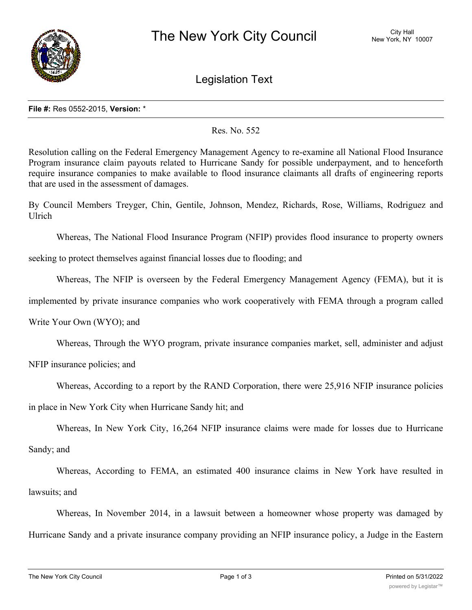

Legislation Text

## **File #:** Res 0552-2015, **Version:** \*

## Res. No. 552

Resolution calling on the Federal Emergency Management Agency to re-examine all National Flood Insurance Program insurance claim payouts related to Hurricane Sandy for possible underpayment, and to henceforth require insurance companies to make available to flood insurance claimants all drafts of engineering reports that are used in the assessment of damages.

By Council Members Treyger, Chin, Gentile, Johnson, Mendez, Richards, Rose, Williams, Rodriguez and Ulrich

Whereas, The National Flood Insurance Program (NFIP) provides flood insurance to property owners

seeking to protect themselves against financial losses due to flooding; and

Whereas, The NFIP is overseen by the Federal Emergency Management Agency (FEMA), but it is

implemented by private insurance companies who work cooperatively with FEMA through a program called

Write Your Own (WYO); and

Whereas, Through the WYO program, private insurance companies market, sell, administer and adjust

NFIP insurance policies; and

Whereas, According to a report by the RAND Corporation, there were 25,916 NFIP insurance policies

in place in New York City when Hurricane Sandy hit; and

Whereas, In New York City, 16,264 NFIP insurance claims were made for losses due to Hurricane Sandy; and

Whereas, According to FEMA, an estimated 400 insurance claims in New York have resulted in lawsuits; and

Whereas, In November 2014, in a lawsuit between a homeowner whose property was damaged by Hurricane Sandy and a private insurance company providing an NFIP insurance policy, a Judge in the Eastern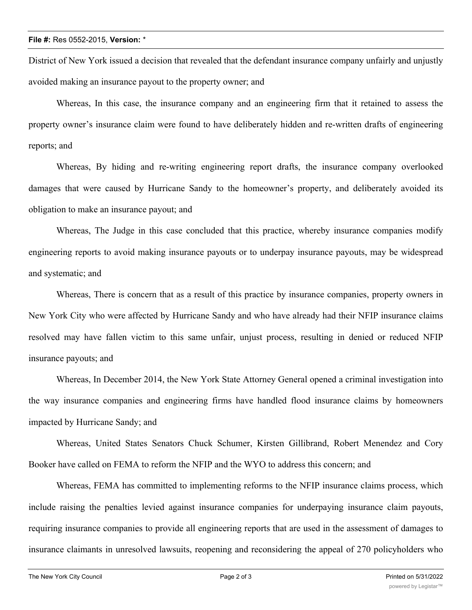District of New York issued a decision that revealed that the defendant insurance company unfairly and unjustly avoided making an insurance payout to the property owner; and

Whereas, In this case, the insurance company and an engineering firm that it retained to assess the property owner's insurance claim were found to have deliberately hidden and re-written drafts of engineering reports; and

Whereas, By hiding and re-writing engineering report drafts, the insurance company overlooked damages that were caused by Hurricane Sandy to the homeowner's property, and deliberately avoided its obligation to make an insurance payout; and

Whereas, The Judge in this case concluded that this practice, whereby insurance companies modify engineering reports to avoid making insurance payouts or to underpay insurance payouts, may be widespread and systematic; and

Whereas, There is concern that as a result of this practice by insurance companies, property owners in New York City who were affected by Hurricane Sandy and who have already had their NFIP insurance claims resolved may have fallen victim to this same unfair, unjust process, resulting in denied or reduced NFIP insurance payouts; and

Whereas, In December 2014, the New York State Attorney General opened a criminal investigation into the way insurance companies and engineering firms have handled flood insurance claims by homeowners impacted by Hurricane Sandy; and

Whereas, United States Senators Chuck Schumer, Kirsten Gillibrand, Robert Menendez and Cory Booker have called on FEMA to reform the NFIP and the WYO to address this concern; and

Whereas, FEMA has committed to implementing reforms to the NFIP insurance claims process, which include raising the penalties levied against insurance companies for underpaying insurance claim payouts, requiring insurance companies to provide all engineering reports that are used in the assessment of damages to insurance claimants in unresolved lawsuits, reopening and reconsidering the appeal of 270 policyholders who